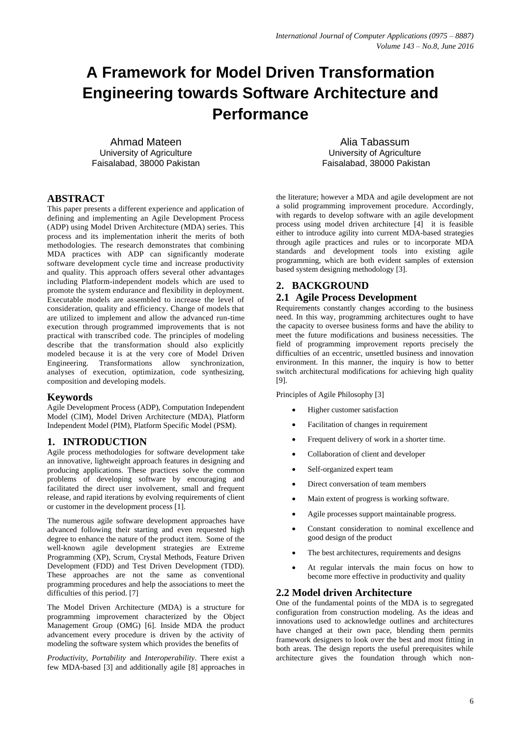# **A Framework for Model Driven Transformation Engineering towards Software Architecture and Performance**

Ahmad Mateen University of Agriculture Faisalabad, 38000 Pakistan

Alia Tabassum University of Agriculture Faisalabad, 38000 Pakistan

## **ABSTRACT**

This paper presents a different experience and application of defining and implementing an Agile Development Process (ADP) using Model Driven Architecture (MDA) series. This process and its implementation inherit the merits of both methodologies. The research demonstrates that combining MDA practices with ADP can significantly moderate software development cycle time and increase productivity and quality. This approach offers several other advantages including Platform-independent models which are used to promote the system endurance and flexibility in deployment. Executable models are assembled to increase the level of consideration, quality and efficiency. Change of models that are utilized to implement and allow the advanced run-time execution through programmed improvements that is not practical with transcribed code. The principles of modeling describe that the transformation should also explicitly modeled because it is at the very core of Model Driven Engineering. Transformations allow synchronization, analyses of execution, optimization, code synthesizing, composition and developing models*.*

#### **Keywords**

Agile Development Process (ADP), Computation Independent Model (CIM), Model Driven Architecture (MDA), Platform Independent Model (PIM), Platform Specific Model (PSM).

## **1. INTRODUCTION**

Agile process methodologies for software development take an innovative, lightweight approach features in designing and producing applications. These practices solve the common problems of developing software by encouraging and facilitated the direct user involvement, small and frequent release, and rapid iterations by evolving requirements of client or customer in the development process [1].

The numerous agile software development approaches have advanced following their starting and even requested high degree to enhance the nature of the product item. Some of the well-known agile development strategies are Extreme Programming (XP), Scrum, Crystal Methods, Feature Driven Development (FDD) and Test Driven Development (TDD). These approaches are not the same as conventional programming procedures and help the associations to meet the difficulties of this period. [7]

The Model Driven Architecture (MDA) is a structure for programming improvement characterized by the Object Management Group (OMG) [6]. Inside MDA the product advancement every procedure is driven by the activity of modeling the software system which provides the benefits of

*Productivity, Portability* and *Interoperability*. There exist a few MDA-based [3] and additionally agile [8] approaches in the literature; however a MDA and agile development are not a solid programming improvement procedure. Accordingly, with regards to develop software with an agile development process using model driven architecture [4] it is feasible either to introduce agility into current MDA-based strategies through agile practices and rules or to incorporate MDA standards and development tools into existing agile programming, which are both evident samples of extension based system designing methodology [3].

# **2. BACKGROUND**

## **2.1 Agile Process Development**

Requirements constantly changes according to the business need. In this way, programming architectures ought to have the capacity to oversee business forms and have the ability to meet the future modifications and business necessities. The field of programming improvement reports precisely the difficulties of an eccentric, unsettled business and innovation environment. In this manner, the inquiry is how to better switch architectural modifications for achieving high quality [9].

Principles of Agile Philosophy [3]

- Higher customer satisfaction
- Facilitation of changes in requirement
- Frequent delivery of work in a shorter time.
- Collaboration of client and developer
- Self-organized expert team
- Direct conversation of team members
- Main extent of progress is working software.
- Agile processes support maintainable progress.
- Constant consideration to nominal excellence and good design of the product
- The best architectures, requirements and designs
- At regular intervals the main focus on how to become more effective in productivity and quality

## **2.2 Model driven Architecture**

One of the fundamental points of the MDA is to segregated configuration from construction modeling. As the ideas and innovations used to acknowledge outlines and architectures have changed at their own pace, blending them permits framework designers to look over the best and most fitting in both areas. The design reports the useful prerequisites while architecture gives the foundation through which non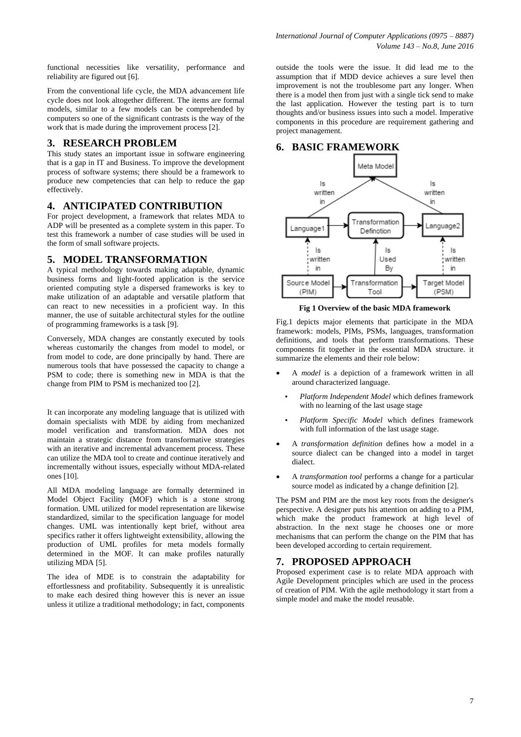functional necessities like versatility, performance and reliability are figured out [6].

From the conventional life cycle, the MDA advancement life cycle does not look altogether different. The items are formal models, similar to a few models can be comprehended by computers so one of the significant contrasts is the way of the work that is made during the improvement process [2].

### **3. RESEARCH PROBLEM**

This study states an important issue in software engineering that is a gap in IT and Business. To improve the development process of software systems; there should be a framework to produce new competencies that can help to reduce the gap effectively.

#### **4. ANTICIPATED CONTRIBUTION**

For project development, a framework that relates MDA to ADP will be presented as a complete system in this paper. To test this framework a number of case studies will be used in the form of small software projects.

### **5. MODEL TRANSFORMATION**

A typical methodology towards making adaptable, dynamic business forms and light-footed application is the service oriented computing style a dispersed frameworks is key to make utilization of an adaptable and versatile platform that can react to new necessities in a proficient way. In this manner, the use of suitable architectural styles for the outline of programming frameworks is a task [9].

Conversely, MDA changes are constantly executed by tools whereas customarily the changes from model to model, or from model to code, are done principally by hand. There are numerous tools that have possessed the capacity to change a PSM to code; there is something new in MDA is that the change from PIM to PSM is mechanized too [2].

It can incorporate any modeling language that is utilized with domain specialists with MDE by aiding from mechanized model verification and transformation. MDA does not maintain a strategic distance from transformative strategies with an iterative and incremental advancement process. These can utilize the MDA tool to create and continue iteratively and incrementally without issues, especially without MDA-related ones [10].

All MDA modeling language are formally determined in Model Object Facility (MOF) which is a stone strong formation. UML utilized for model representation are likewise standardized, similar to the specification language for model changes. UML was intentionally kept brief, without area specifics rather it offers lightweight extensibility, allowing the production of UML profiles for meta models formally determined in the MOF. It can make profiles naturally utilizing MDA [5].

The idea of MDE is to constrain the adaptability for effortlessness and profitability. Subsequently it is unrealistic to make each desired thing however this is never an issue unless it utilize a traditional methodology; in fact, components

outside the tools were the issue. It did lead me to the assumption that if MDD device achieves a sure level then improvement is not the troublesome part any longer. When there is a model then from just with a single tick send to make the last application. However the testing part is to turn thoughts and/or business issues into such a model. Imperative components in this procedure are requirement gathering and project management.

## **6. BASIC FRAMEWORK**



**Fig 1 Overview of the basic MDA framework**

Fig.1 depicts major elements that participate in the MDA framework: models, PIMs, PSMs, languages, transformation definitions, and tools that perform transformations. These components fit together in the essential MDA structure. it summarize the elements and their role below:

- A *model* is a depiction of a framework written in all around characterized language.
	- *Platform Independent Model* which defines framework with no learning of the last usage stage
	- *Platform Specific Model* which defines framework with full information of the last usage stage.
- A *transformation definition* defines how a model in a source dialect can be changed into a model in target dialect.
- A *transformation tool* performs a change for a particular source model as indicated by a change definition [2].

The PSM and PIM are the most key roots from the designer's perspective. A designer puts his attention on adding to a PIM, which make the product framework at high level of abstraction. In the next stage he chooses one or more mechanisms that can perform the change on the PIM that has been developed according to certain requirement.

## **7. PROPOSED APPROACH**

Proposed experiment case is to relate MDA approach with Agile Development principles which are used in the process of creation of PIM. With the agile methodology it start from a simple model and make the model reusable.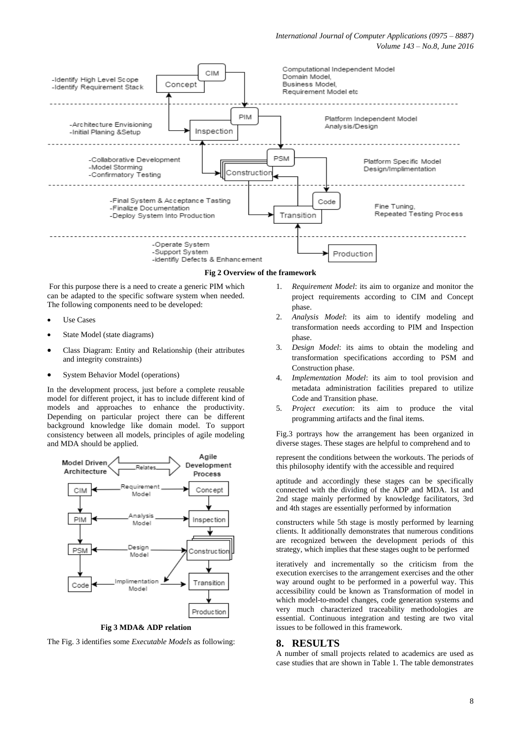

For this purpose there is a need to create a generic PIM which can be adapted to the specific software system when needed. The following components need to be developed:

- Use Cases
- State Model (state diagrams)
- Class Diagram: Entity and Relationship (their attributes and integrity constraints)
- System Behavior Model (operations)

In the development process, just before a complete reusable model for different project, it has to include different kind of models and approaches to enhance the productivity. Depending on particular project there can be different background knowledge like domain model. To support consistency between all models, principles of agile modeling and MDA should be applied.



**Fig 3 MDA& ADP relation**

The Fig. 3 identifies some *Executable Models* as following:

- 1. *Requirement Model*: its aim to organize and monitor the project requirements according to CIM and Concept phase.
- 2. *Analysis Model*: its aim to identify modeling and transformation needs according to PIM and Inspection phase.
- 3. *Design Model*: its aims to obtain the modeling and transformation specifications according to PSM and Construction phase.
- 4. *Implementation Model*: its aim to tool provision and metadata administration facilities prepared to utilize Code and Transition phase.
- 5. *Project execution*: its aim to produce the vital programming artifacts and the final items.

Fig.3 portrays how the arrangement has been organized in diverse stages. These stages are helpful to comprehend and to

represent the conditions between the workouts. The periods of this philosophy identify with the accessible and required

aptitude and accordingly these stages can be specifically connected with the dividing of the ADP and MDA. 1st and 2nd stage mainly performed by knowledge facilitators, 3rd and 4th stages are essentially performed by information

constructers while 5th stage is mostly performed by learning clients. It additionally demonstrates that numerous conditions are recognized between the development periods of this strategy, which implies that these stages ought to be performed

iteratively and incrementally so the criticism from the execution exercises to the arrangement exercises and the other way around ought to be performed in a powerful way. This accessibility could be known as Transformation of model in which model-to-model changes, code generation systems and very much characterized traceability methodologies are essential. Continuous integration and testing are two vital issues to be followed in this framework.

#### **8. RESULTS**

A number of small projects related to academics are used as case studies that are shown in Table 1. The table demonstrates